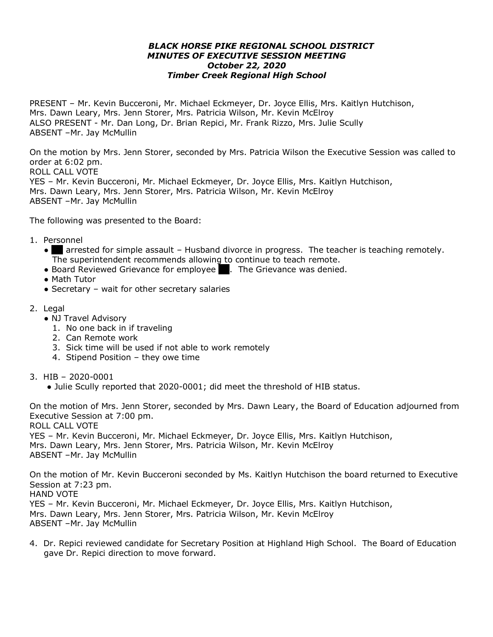## *BLACK HORSE PIKE REGIONAL SCHOOL DISTRICT MINUTES OF EXECUTIVE SESSION MEETING October 22, 2020 Timber Creek Regional High School*

PRESENT – Mr. Kevin Bucceroni, Mr. Michael Eckmeyer, Dr. Joyce Ellis, Mrs. Kaitlyn Hutchison, Mrs. Dawn Leary, Mrs. Jenn Storer, Mrs. Patricia Wilson, Mr. Kevin McElroy ALSO PRESENT - Mr. Dan Long, Dr. Brian Repici, Mr. Frank Rizzo, Mrs. Julie Scully ABSENT –Mr. Jay McMullin

On the motion by Mrs. Jenn Storer, seconded by Mrs. Patricia Wilson the Executive Session was called to order at 6:02 pm. ROLL CALL VOTE YES – Mr. Kevin Bucceroni, Mr. Michael Eckmeyer, Dr. Joyce Ellis, Mrs. Kaitlyn Hutchison,

Mrs. Dawn Leary, Mrs. Jenn Storer, Mrs. Patricia Wilson, Mr. Kevin McElroy ABSENT –Mr. Jay McMullin

The following was presented to the Board:

- 1. Personnel
	- SN arrested for simple assault Husband divorce in progress. The teacher is teaching remotely. The superintendent recommends allowing to continue to teach remote.
	- Board Reviewed Grievance for employee RS. The Grievance was denied.
	- Math Tutor
	- Secretary wait for other secretary salaries
- 2. Legal
	- NJ Travel Advisory
		- 1. No one back in if traveling
		- 2. Can Remote work
		- 3. Sick time will be used if not able to work remotely
		- 4. Stipend Position they owe time
- 3. HIB 2020-0001
	- Julie Scully reported that 2020-0001; did meet the threshold of HIB status.

On the motion of Mrs. Jenn Storer, seconded by Mrs. Dawn Leary, the Board of Education adjourned from Executive Session at 7:00 pm. ROLL CALL VOTE YES – Mr. Kevin Bucceroni, Mr. Michael Eckmeyer, Dr. Joyce Ellis, Mrs. Kaitlyn Hutchison, Mrs. Dawn Leary, Mrs. Jenn Storer, Mrs. Patricia Wilson, Mr. Kevin McElroy ABSENT –Mr. Jay McMullin

On the motion of Mr. Kevin Bucceroni seconded by Ms. Kaitlyn Hutchison the board returned to Executive Session at 7:23 pm. HAND VOTE YES – Mr. Kevin Bucceroni, Mr. Michael Eckmeyer, Dr. Joyce Ellis, Mrs. Kaitlyn Hutchison, Mrs. Dawn Leary, Mrs. Jenn Storer, Mrs. Patricia Wilson, Mr. Kevin McElroy ABSENT –Mr. Jay McMullin

4. Dr. Repici reviewed candidate for Secretary Position at Highland High School. The Board of Education gave Dr. Repici direction to move forward.